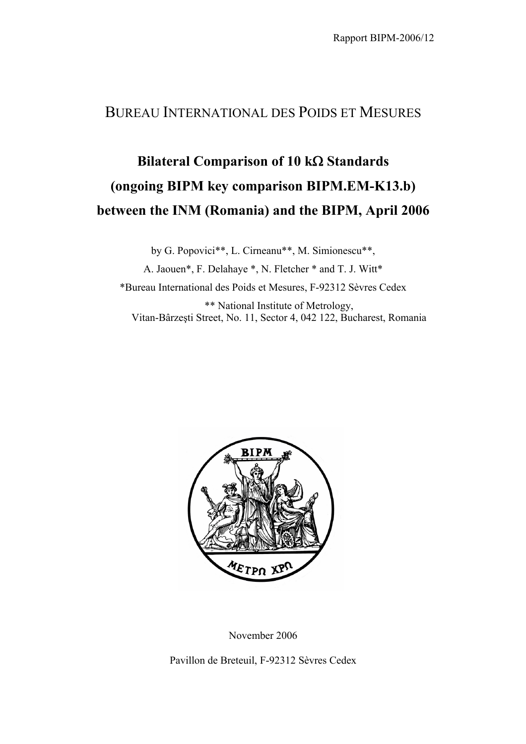## BUREAU INTERNATIONAL DES POIDS ET MESURES

## **Bilateral Comparison of 10 k**Ω **Standards (ongoing BIPM key comparison BIPM.EM-K13.b) between the INM (Romania) and the BIPM, April 2006**

by G. Popovici\*\*, L. Cirneanu\*\*, M. Simionescu\*\*, A. Jaouen\*, F. Delahaye \*, N. Fletcher \* and T. J. Witt\* \*Bureau International des Poids et Mesures, F-92312 Sèvres Cedex \*\* National Institute of Metrology, Vitan-Bârzeşti Street, No. 11, Sector 4, 042 122, Bucharest, Romania



November 2006

Pavillon de Breteuil, F-92312 Sèvres Cedex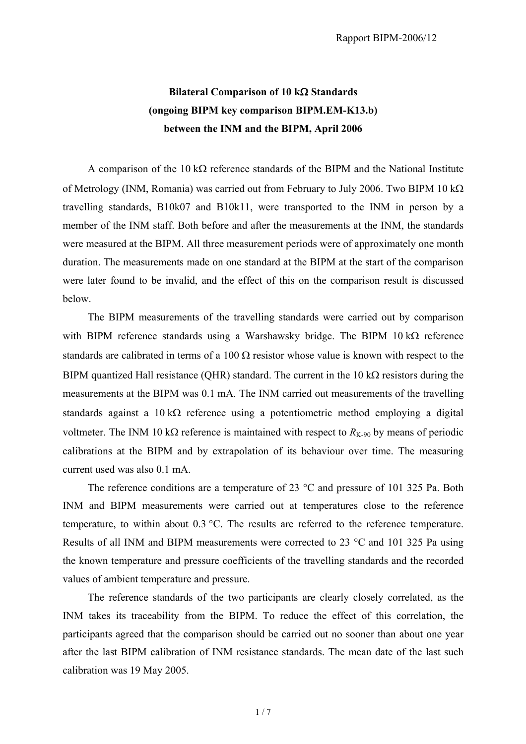## **Bilateral Comparison of 10 k**Ω **Standards (ongoing BIPM key comparison BIPM.EM-K13.b) between the INM and the BIPM, April 2006**

A comparison of the  $10 \text{ k}\Omega$  reference standards of the BIPM and the National Institute of Metrology (INM, Romania) was carried out from February to July 2006. Two BIPM 10 kΩ travelling standards, B10k07 and B10k11, were transported to the INM in person by a member of the INM staff. Both before and after the measurements at the INM, the standards were measured at the BIPM. All three measurement periods were of approximately one month duration. The measurements made on one standard at the BIPM at the start of the comparison were later found to be invalid, and the effect of this on the comparison result is discussed below.

The BIPM measurements of the travelling standards were carried out by comparison with BIPM reference standards using a Warshawsky bridge. The BIPM 10 kΩ reference standards are calibrated in terms of a 100  $\Omega$  resistor whose value is known with respect to the BIPM quantized Hall resistance (OHR) standard. The current in the 10 k $\Omega$  resistors during the measurements at the BIPM was 0.1 mA. The INM carried out measurements of the travelling standards against a 10 kΩ reference using a potentiometric method employing a digital voltmeter. The INM 10 kΩ reference is maintained with respect to  $R_{K-90}$  by means of periodic calibrations at the BIPM and by extrapolation of its behaviour over time. The measuring current used was also 0.1 mA.

The reference conditions are a temperature of 23 °C and pressure of 101 325 Pa. Both INM and BIPM measurements were carried out at temperatures close to the reference temperature, to within about 0.3 °C. The results are referred to the reference temperature. Results of all INM and BIPM measurements were corrected to 23 °C and 101 325 Pa using the known temperature and pressure coefficients of the travelling standards and the recorded values of ambient temperature and pressure.

The reference standards of the two participants are clearly closely correlated, as the INM takes its traceability from the BIPM. To reduce the effect of this correlation, the participants agreed that the comparison should be carried out no sooner than about one year after the last BIPM calibration of INM resistance standards. The mean date of the last such calibration was 19 May 2005.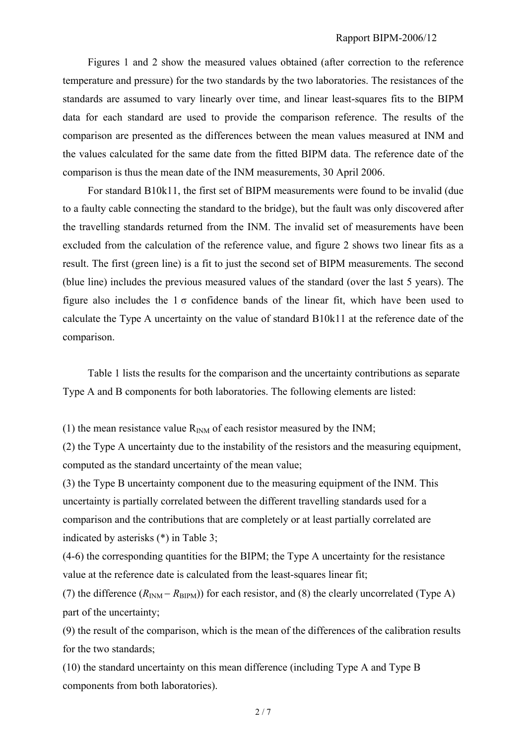Figures 1 and 2 show the measured values obtained (after correction to the reference temperature and pressure) for the two standards by the two laboratories. The resistances of the standards are assumed to vary linearly over time, and linear least-squares fits to the BIPM data for each standard are used to provide the comparison reference. The results of the comparison are presented as the differences between the mean values measured at INM and the values calculated for the same date from the fitted BIPM data. The reference date of the comparison is thus the mean date of the INM measurements, 30 April 2006.

For standard B10k11, the first set of BIPM measurements were found to be invalid (due to a faulty cable connecting the standard to the bridge), but the fault was only discovered after the travelling standards returned from the INM. The invalid set of measurements have been excluded from the calculation of the reference value, and figure 2 shows two linear fits as a result. The first (green line) is a fit to just the second set of BIPM measurements. The second (blue line) includes the previous measured values of the standard (over the last 5 years). The figure also includes the  $1 \sigma$  confidence bands of the linear fit, which have been used to calculate the Type A uncertainty on the value of standard B10k11 at the reference date of the comparison.

Table 1 lists the results for the comparison and the uncertainty contributions as separate Type A and B components for both laboratories. The following elements are listed:

(1) the mean resistance value  $R_{INM}$  of each resistor measured by the INM;

(2) the Type A uncertainty due to the instability of the resistors and the measuring equipment, computed as the standard uncertainty of the mean value;

(3) the Type B uncertainty component due to the measuring equipment of the INM. This uncertainty is partially correlated between the different travelling standards used for a comparison and the contributions that are completely or at least partially correlated are indicated by asterisks (\*) in Table 3;

(4-6) the corresponding quantities for the BIPM; the Type A uncertainty for the resistance value at the reference date is calculated from the least-squares linear fit;

(7) the difference  $(R_{INM} - R_{BIPM})$  for each resistor, and (8) the clearly uncorrelated (Type A) part of the uncertainty;

(9) the result of the comparison, which is the mean of the differences of the calibration results for the two standards;

(10) the standard uncertainty on this mean difference (including Type A and Type B components from both laboratories).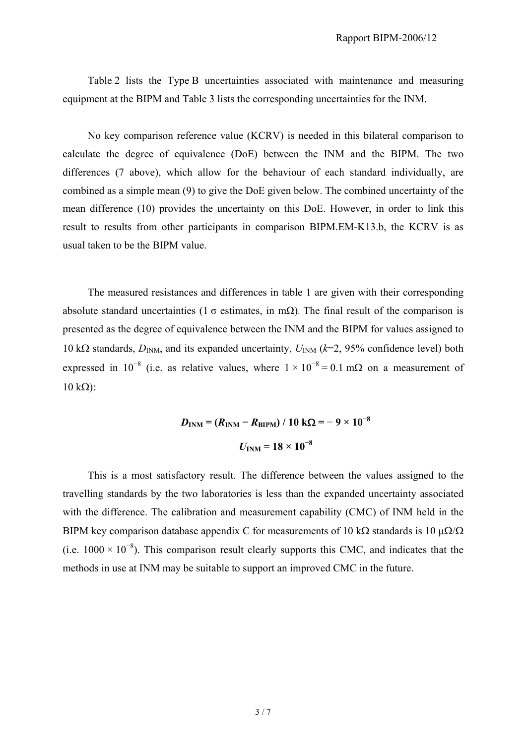Table 2 lists the Type B uncertainties associated with maintenance and measuring equipment at the BIPM and Table 3 lists the corresponding uncertainties for the INM.

No key comparison reference value (KCRV) is needed in this bilateral comparison to calculate the degree of equivalence (DoE) between the INM and the BIPM. The two differences (7 above), which allow for the behaviour of each standard individually, are combined as a simple mean (9) to give the DoE given below. The combined uncertainty of the mean difference (10) provides the uncertainty on this DoE. However, in order to link this result to results from other participants in comparison BIPM.EM-K13.b, the KCRV is as usual taken to be the BIPM value.

The measured resistances and differences in table 1 are given with their corresponding absolute standard uncertainties (1  $\sigma$  estimates, in mΩ). The final result of the comparison is presented as the degree of equivalence between the INM and the BIPM for values assigned to 10 kΩ standards,  $D_{INM}$ , and its expanded uncertainty,  $U_{INM}$  ( $k=2$ , 95% confidence level) both expressed in 10<sup>-8</sup> (i.e. as relative values, where  $1 \times 10^{-8} = 0.1$  m $\Omega$  on a measurement of  $10$  kΩ):

$$
D_{\text{INM}} = (R_{\text{INM}} - R_{\text{BIPM}}) / 10 \text{ k}\Omega = -9 \times 10^{-8}
$$
  

$$
U_{\text{INM}} = 18 \times 10^{-8}
$$

This is a most satisfactory result. The difference between the values assigned to the travelling standards by the two laboratories is less than the expanded uncertainty associated with the difference. The calibration and measurement capability (CMC) of INM held in the BIPM key comparison database appendix C for measurements of 10 kΩ standards is 10  $\mu\Omega/\Omega$ (i.e.  $1000 \times 10^{-8}$ ). This comparison result clearly supports this CMC, and indicates that the methods in use at INM may be suitable to support an improved CMC in the future.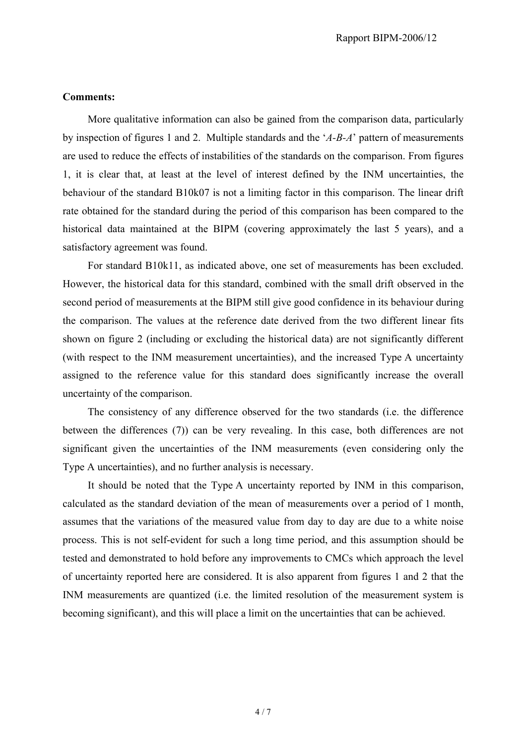## **Comments:**

More qualitative information can also be gained from the comparison data, particularly by inspection of figures 1 and 2. Multiple standards and the '*A-B-A*' pattern of measurements are used to reduce the effects of instabilities of the standards on the comparison. From figures 1, it is clear that, at least at the level of interest defined by the INM uncertainties, the behaviour of the standard B10k07 is not a limiting factor in this comparison. The linear drift rate obtained for the standard during the period of this comparison has been compared to the historical data maintained at the BIPM (covering approximately the last 5 years), and a satisfactory agreement was found.

For standard B10k11, as indicated above, one set of measurements has been excluded. However, the historical data for this standard, combined with the small drift observed in the second period of measurements at the BIPM still give good confidence in its behaviour during the comparison. The values at the reference date derived from the two different linear fits shown on figure 2 (including or excluding the historical data) are not significantly different (with respect to the INM measurement uncertainties), and the increased Type A uncertainty assigned to the reference value for this standard does significantly increase the overall uncertainty of the comparison.

The consistency of any difference observed for the two standards (i.e. the difference between the differences (7)) can be very revealing. In this case, both differences are not significant given the uncertainties of the INM measurements (even considering only the Type A uncertainties), and no further analysis is necessary.

It should be noted that the Type A uncertainty reported by INM in this comparison, calculated as the standard deviation of the mean of measurements over a period of 1 month, assumes that the variations of the measured value from day to day are due to a white noise process. This is not self-evident for such a long time period, and this assumption should be tested and demonstrated to hold before any improvements to CMCs which approach the level of uncertainty reported here are considered. It is also apparent from figures 1 and 2 that the INM measurements are quantized (i.e. the limited resolution of the measurement system is becoming significant), and this will place a limit on the uncertainties that can be achieved.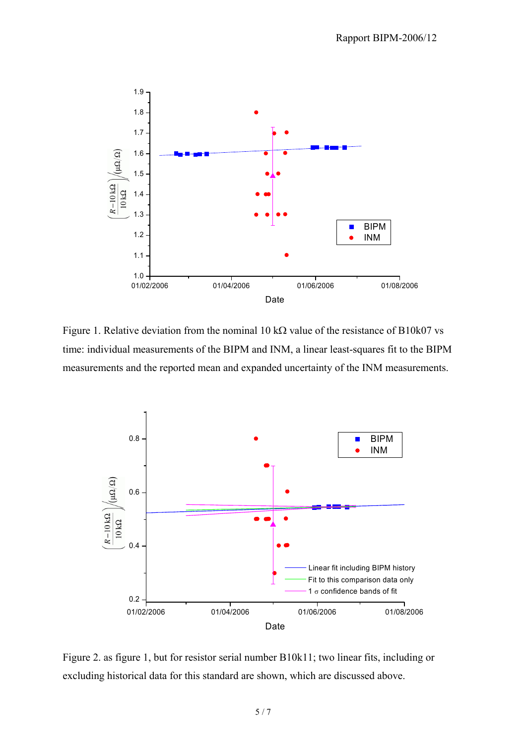

Figure 1. Relative deviation from the nominal 10 k $\Omega$  value of the resistance of B10k07 vs time: individual measurements of the BIPM and INM, a linear least-squares fit to the BIPM measurements and the reported mean and expanded uncertainty of the INM measurements.



Figure 2. as figure 1, but for resistor serial number B10k11; two linear fits, including or excluding historical data for this standard are shown, which are discussed above.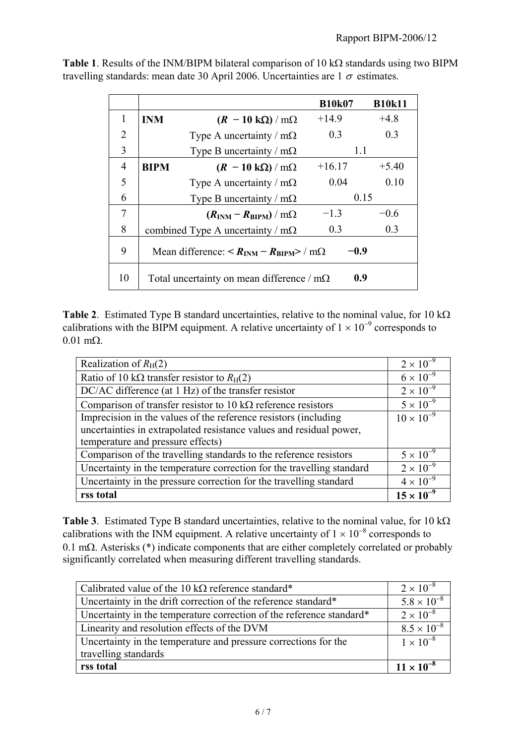|                |             |                                                                                      | <b>B10k07</b> | <b>B10k11</b> |
|----------------|-------------|--------------------------------------------------------------------------------------|---------------|---------------|
|                | <b>INM</b>  | $(R - 10 \text{ k}\Omega) / \text{m}\Omega$                                          | $+14.9$       | $+4.8$        |
| $\overline{2}$ |             | Type A uncertainty / $m\Omega$                                                       | 03            | 0.3           |
| 3              |             | Type B uncertainty / $m\Omega$                                                       | 1.1           |               |
| 4              | <b>BIPM</b> | $(R - 10 \text{ k}\Omega)/m\Omega$                                                   | $+16.17$      | $+5.40$       |
| 5              |             | Type A uncertainty / $m\Omega$                                                       | 0.04          | 0.10          |
| 6              |             | Type B uncertainty / $m\Omega$                                                       | 0.15          |               |
| 7              |             | $(R_{\text{INM}} - R_{\text{BIPM}})/m\Omega$                                         | $-1.3$        | $-0.6$        |
| 8              |             | combined Type A uncertainty / $m\Omega$                                              | 0.3           | 0.3           |
| 9              |             | Mean difference: $\langle R_{\text{INM}} - R_{\text{RIPM}} \rangle / \text{m}\Omega$ | -0.9          |               |
| 10             |             | Total uncertainty on mean difference / $m\Omega$                                     | 0.9           |               |

**Table 1**. Results of the INM/BIPM bilateral comparison of 10 kΩ standards using two BIPM travelling standards: mean date 30 April 2006. Uncertainties are  $1\sigma$  estimates.

**Table 2**. Estimated Type B standard uncertainties, relative to the nominal value, for 10 kΩ calibrations with the BIPM equipment. A relative uncertainty of  $1 \times 10^{-9}$  corresponds to 0.01 mΩ.

| Realization of $R_H(2)$                                               | $2 \times 10^{-9}$  |
|-----------------------------------------------------------------------|---------------------|
| Ratio of 10 k $\Omega$ transfer resistor to $R_H(2)$                  | $6 \times 10^{-9}$  |
| DC/AC difference (at 1 Hz) of the transfer resistor                   | $2 \times 10^{-9}$  |
| Comparison of transfer resistor to 10 k $\Omega$ reference resistors  | $5 \times 10^{-9}$  |
| Imprecision in the values of the reference resistors (including       | $10 \times 10^{-9}$ |
| uncertainties in extrapolated resistance values and residual power,   |                     |
| temperature and pressure effects)                                     |                     |
| Comparison of the travelling standards to the reference resistors     | $5 \times 10^{-9}$  |
| Uncertainty in the temperature correction for the travelling standard | $2 \times 10^{-9}$  |
| Uncertainty in the pressure correction for the travelling standard    | $4 \times 10^{-9}$  |
| rss total                                                             | $15 \times 10^{-9}$ |

**Table 3**. Estimated Type B standard uncertainties, relative to the nominal value, for 10 kΩ calibrations with the INM equipment. A relative uncertainty of  $1 \times 10^{-8}$  corresponds to 0.1 mΩ. Asterisks (\*) indicate components that are either completely correlated or probably significantly correlated when measuring different travelling standards.

| Calibrated value of the 10 k $\Omega$ reference standard*            | $2 \times 10^{-8}$   |
|----------------------------------------------------------------------|----------------------|
| Uncertainty in the drift correction of the reference standard*       | $5.8 \times 10^{-8}$ |
| Uncertainty in the temperature correction of the reference standard* | $2 \times 10^{-8}$   |
| Linearity and resolution effects of the DVM                          | $8.5 \times 10^{-8}$ |
| Uncertainty in the temperature and pressure corrections for the      | $1 \times 10^{-8}$   |
| travelling standards                                                 |                      |
| rss total                                                            | $11 \times 10^{-8}$  |